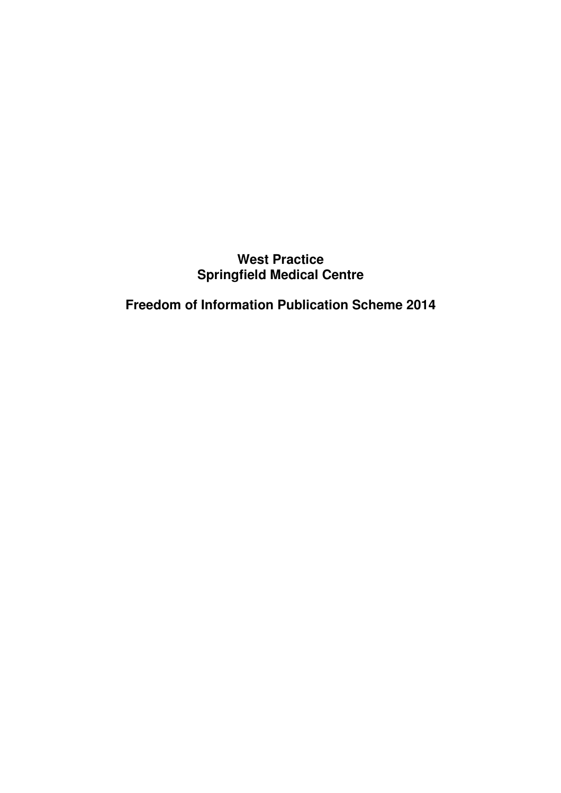# **West Practice Springfield Medical Centre**

**Freedom of Information Publication Scheme 2014**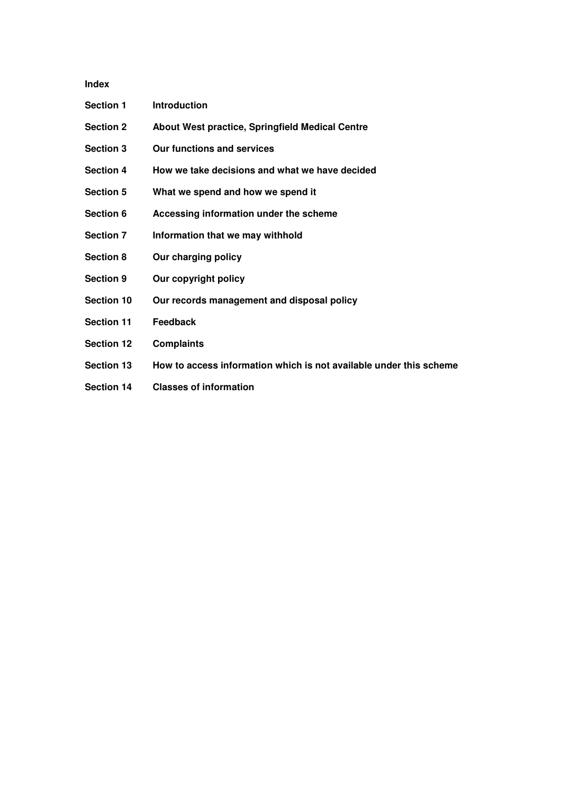**Index** 

| <b>Section 1</b>  | <b>Introduction</b>                                                |
|-------------------|--------------------------------------------------------------------|
| <b>Section 2</b>  | About West practice, Springfield Medical Centre                    |
| <b>Section 3</b>  | Our functions and services                                         |
| <b>Section 4</b>  | How we take decisions and what we have decided                     |
| <b>Section 5</b>  | What we spend and how we spend it                                  |
| <b>Section 6</b>  | Accessing information under the scheme                             |
| <b>Section 7</b>  | Information that we may withhold                                   |
| <b>Section 8</b>  | Our charging policy                                                |
| <b>Section 9</b>  | Our copyright policy                                               |
| <b>Section 10</b> | Our records management and disposal policy                         |
| <b>Section 11</b> | <b>Feedback</b>                                                    |
| <b>Section 12</b> | <b>Complaints</b>                                                  |
| <b>Section 13</b> | How to access information which is not available under this scheme |
| <b>Section 14</b> | <b>Classes of information</b>                                      |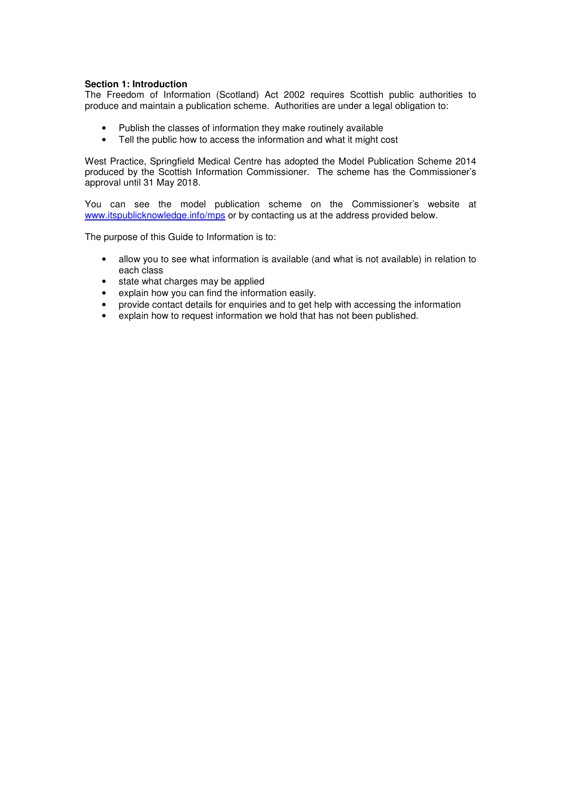# **Section 1: Introduction**

The Freedom of Information (Scotland) Act 2002 requires Scottish public authorities to produce and maintain a publication scheme. Authorities are under a legal obligation to:

- Publish the classes of information they make routinely available
- Tell the public how to access the information and what it might cost

West Practice, Springfield Medical Centre has adopted the Model Publication Scheme 2014 produced by the Scottish Information Commissioner. The scheme has the Commissioner's approval until 31 May 2018.

You can see the model publication scheme on the Commissioner's website at www.itspublicknowledge.info/mps or by contacting us at the address provided below.

The purpose of this Guide to Information is to:

- allow you to see what information is available (and what is not available) in relation to each class
- state what charges may be applied
- explain how you can find the information easily.
- provide contact details for enquiries and to get help with accessing the information
- explain how to request information we hold that has not been published.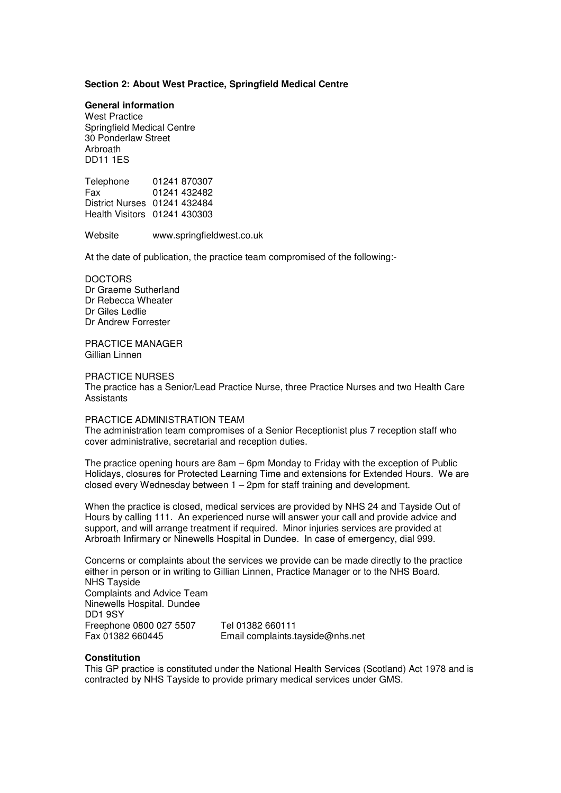# **Section 2: About West Practice, Springfield Medical Centre**

#### **General information**

West Practice Springfield Medical Centre 30 Ponderlaw Street Arbroath DD11 1ES

Telephone 01241 870307<br>Fax 01241 432482 01241 432482 District Nurses 01241 432484 Health Visitors 01241 430303

Website www.springfieldwest.co.uk

At the date of publication, the practice team compromised of the following:-

**DOCTORS** Dr Graeme Sutherland Dr Rebecca Wheater Dr Giles Ledlie Dr Andrew Forrester

PRACTICE MANAGER Gillian Linnen

# PRACTICE NURSES

The practice has a Senior/Lead Practice Nurse, three Practice Nurses and two Health Care **Assistants** 

# PRACTICE ADMINISTRATION TEAM

The administration team compromises of a Senior Receptionist plus 7 reception staff who cover administrative, secretarial and reception duties.

The practice opening hours are 8am – 6pm Monday to Friday with the exception of Public Holidays, closures for Protected Learning Time and extensions for Extended Hours. We are closed every Wednesday between  $1 - 2$ pm for staff training and development.

When the practice is closed, medical services are provided by NHS 24 and Tayside Out of Hours by calling 111. An experienced nurse will answer your call and provide advice and support, and will arrange treatment if required. Minor injuries services are provided at Arbroath Infirmary or Ninewells Hospital in Dundee. In case of emergency, dial 999.

Concerns or complaints about the services we provide can be made directly to the practice either in person or in writing to Gillian Linnen, Practice Manager or to the NHS Board. NHS Tayside Complaints and Advice Team Ninewells Hospital. Dundee DD1 9SY Freephone 0800 027 5507 Tel 01382 660111 Email complaints.tayside@nhs.net

# **Constitution**

This GP practice is constituted under the National Health Services (Scotland) Act 1978 and is contracted by NHS Tayside to provide primary medical services under GMS.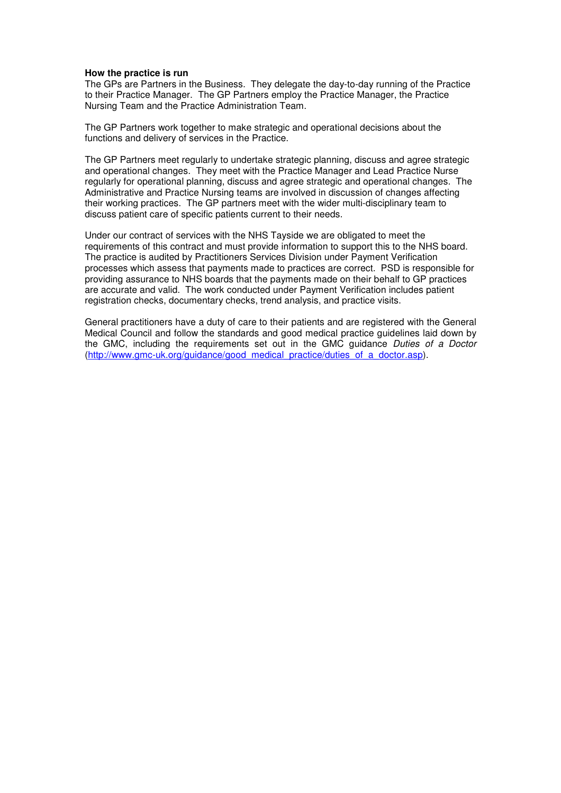#### **How the practice is run**

The GPs are Partners in the Business. They delegate the day-to-day running of the Practice to their Practice Manager. The GP Partners employ the Practice Manager, the Practice Nursing Team and the Practice Administration Team.

The GP Partners work together to make strategic and operational decisions about the functions and delivery of services in the Practice.

The GP Partners meet regularly to undertake strategic planning, discuss and agree strategic and operational changes. They meet with the Practice Manager and Lead Practice Nurse regularly for operational planning, discuss and agree strategic and operational changes. The Administrative and Practice Nursing teams are involved in discussion of changes affecting their working practices. The GP partners meet with the wider multi-disciplinary team to discuss patient care of specific patients current to their needs.

Under our contract of services with the NHS Tayside we are obligated to meet the requirements of this contract and must provide information to support this to the NHS board. The practice is audited by Practitioners Services Division under Payment Verification processes which assess that payments made to practices are correct. PSD is responsible for providing assurance to NHS boards that the payments made on their behalf to GP practices are accurate and valid. The work conducted under Payment Verification includes patient registration checks, documentary checks, trend analysis, and practice visits.

General practitioners have a duty of care to their patients and are registered with the General Medical Council and follow the standards and good medical practice guidelines laid down by the GMC, including the requirements set out in the GMC guidance *Duties of a Doctor*  (http://www.gmc-uk.org/guidance/good\_medical\_practice/duties\_of\_a\_doctor.asp).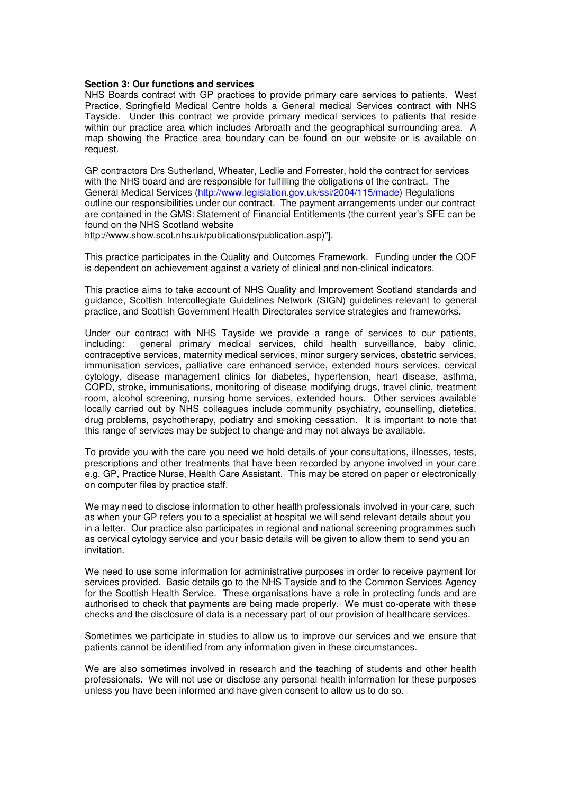#### **Section 3: Our functions and services**

NHS Boards contract with GP practices to provide primary care services to patients. West Practice, Springfield Medical Centre holds a General medical Services contract with NHS Tayside. Under this contract we provide primary medical services to patients that reside within our practice area which includes Arbroath and the geographical surrounding area. A map showing the Practice area boundary can be found on our website or is available on request.

GP contractors Drs Sutherland, Wheater, Ledlie and Forrester, hold the contract for services with the NHS board and are responsible for fulfilling the obligations of the contract. The General Medical Services (http://www.legislation.gov.uk/ssi/2004/115/made) Regulations outline our responsibilities under our contract. The payment arrangements under our contract are contained in the GMS: Statement of Financial Entitlements (the current year's SFE can be found on the NHS Scotland website

http://www.show.scot.nhs.uk/publications/publication.asp)"].

This practice participates in the Quality and Outcomes Framework. Funding under the QOF is dependent on achievement against a variety of clinical and non-clinical indicators.

This practice aims to take account of NHS Quality and Improvement Scotland standards and guidance, Scottish Intercollegiate Guidelines Network (SIGN) guidelines relevant to general practice, and Scottish Government Health Directorates service strategies and frameworks.

Under our contract with NHS Tayside we provide a range of services to our patients, including: general primary medical services, child health surveillance, baby clinic, contraceptive services, maternity medical services, minor surgery services, obstetric services, immunisation services, palliative care enhanced service, extended hours services, cervical cytology, disease management clinics for diabetes, hypertension, heart disease, asthma, COPD, stroke, immunisations, monitoring of disease modifying drugs, travel clinic, treatment room, alcohol screening, nursing home services, extended hours. Other services available locally carried out by NHS colleagues include community psychiatry, counselling, dietetics, drug problems, psychotherapy, podiatry and smoking cessation. It is important to note that this range of services may be subject to change and may not always be available.

To provide you with the care you need we hold details of your consultations, illnesses, tests, prescriptions and other treatments that have been recorded by anyone involved in your care e.g. GP, Practice Nurse, Health Care Assistant. This may be stored on paper or electronically on computer files by practice staff.

We may need to disclose information to other health professionals involved in your care, such as when your GP refers you to a specialist at hospital we will send relevant details about you in a letter. Our practice also participates in regional and national screening programmes such as cervical cytology service and your basic details will be given to allow them to send you an invitation.

We need to use some information for administrative purposes in order to receive payment for services provided. Basic details go to the NHS Tayside and to the Common Services Agency for the Scottish Health Service. These organisations have a role in protecting funds and are authorised to check that payments are being made properly. We must co-operate with these checks and the disclosure of data is a necessary part of our provision of healthcare services.

Sometimes we participate in studies to allow us to improve our services and we ensure that patients cannot be identified from any information given in these circumstances.

We are also sometimes involved in research and the teaching of students and other health professionals. We will not use or disclose any personal health information for these purposes unless you have been informed and have given consent to allow us to do so.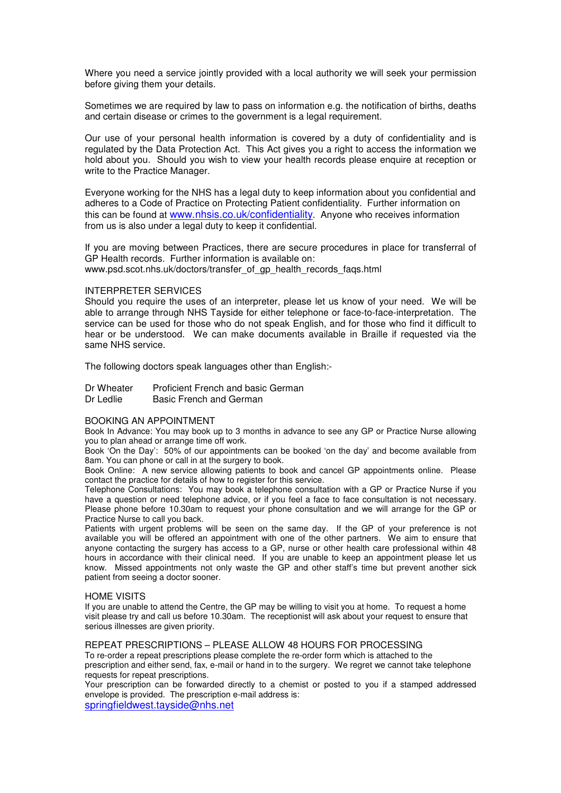Where you need a service jointly provided with a local authority we will seek your permission before giving them your details.

Sometimes we are required by law to pass on information e.g. the notification of births, deaths and certain disease or crimes to the government is a legal requirement.

Our use of your personal health information is covered by a duty of confidentiality and is regulated by the Data Protection Act. This Act gives you a right to access the information we hold about you. Should you wish to view your health records please enquire at reception or write to the Practice Manager.

Everyone working for the NHS has a legal duty to keep information about you confidential and adheres to a Code of Practice on Protecting Patient confidentiality. Further information on this can be found at www.nhsis.co.uk/confidentiality. Anyone who receives information from us is also under a legal duty to keep it confidential.

If you are moving between Practices, there are secure procedures in place for transferral of GP Health records. Further information is available on: www.psd.scot.nhs.uk/doctors/transfer\_of\_gp\_health\_records\_faqs.html

#### INTERPRETER SERVICES

Should you require the uses of an interpreter, please let us know of your need. We will be able to arrange through NHS Tayside for either telephone or face-to-face-interpretation. The service can be used for those who do not speak English, and for those who find it difficult to hear or be understood. We can make documents available in Braille if requested via the same NHS service.

The following doctors speak languages other than English:-

| Dr Wheater | Proficient French and basic German |
|------------|------------------------------------|
| Dr Ledlie  | Basic French and German            |

#### BOOKING AN APPOINTMENT

Book In Advance: You may book up to 3 months in advance to see any GP or Practice Nurse allowing you to plan ahead or arrange time off work.

Book 'On the Day': 50% of our appointments can be booked 'on the day' and become available from 8am. You can phone or call in at the surgery to book.

Book Online: A new service allowing patients to book and cancel GP appointments online. Please contact the practice for details of how to register for this service.

Telephone Consultations: You may book a telephone consultation with a GP or Practice Nurse if you have a question or need telephone advice, or if you feel a face to face consultation is not necessary. Please phone before 10.30am to request your phone consultation and we will arrange for the GP or Practice Nurse to call you back.

Patients with urgent problems will be seen on the same day. If the GP of your preference is not available you will be offered an appointment with one of the other partners. We aim to ensure that anyone contacting the surgery has access to a GP, nurse or other health care professional within 48 hours in accordance with their clinical need. If you are unable to keep an appointment please let us know. Missed appointments not only waste the GP and other staff's time but prevent another sick patient from seeing a doctor sooner.

#### HOME VISITS

If you are unable to attend the Centre, the GP may be willing to visit you at home. To request a home visit please try and call us before 10.30am. The receptionist will ask about your request to ensure that serious illnesses are given priority.

#### REPEAT PRESCRIPTIONS – PLEASE ALLOW 48 HOURS FOR PROCESSING

To re-order a repeat prescriptions please complete the re-order form which is attached to the prescription and either send, fax, e-mail or hand in to the surgery. We regret we cannot take telephone requests for repeat prescriptions.

Your prescription can be forwarded directly to a chemist or posted to you if a stamped addressed envelope is provided. The prescription e-mail address is:

springfieldwest.tayside@nhs.net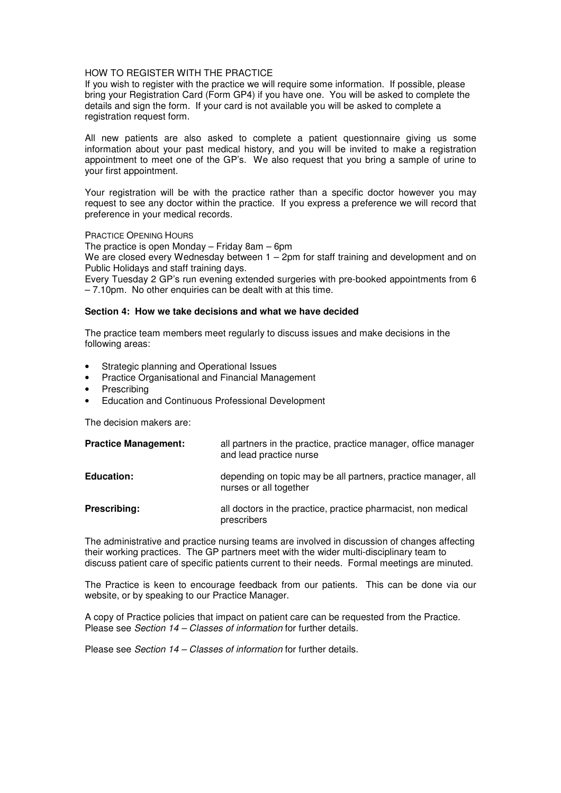# HOW TO REGISTER WITH THE PRACTICE

If you wish to register with the practice we will require some information. If possible, please bring your Registration Card (Form GP4) if you have one. You will be asked to complete the details and sign the form. If your card is not available you will be asked to complete a registration request form.

All new patients are also asked to complete a patient questionnaire giving us some information about your past medical history, and you will be invited to make a registration appointment to meet one of the GP's. We also request that you bring a sample of urine to your first appointment.

Your registration will be with the practice rather than a specific doctor however you may request to see any doctor within the practice. If you express a preference we will record that preference in your medical records.

PRACTICE OPENING HOURS

The practice is open Monday – Friday 8am – 6pm

We are closed every Wednesday between 1 – 2pm for staff training and development and on Public Holidays and staff training days.

Every Tuesday 2 GP's run evening extended surgeries with pre-booked appointments from 6 – 7.10pm. No other enquiries can be dealt with at this time.

#### **Section 4: How we take decisions and what we have decided**

The practice team members meet regularly to discuss issues and make decisions in the following areas:

- Strategic planning and Operational Issues
- Practice Organisational and Financial Management
- **Prescribing**
- Education and Continuous Professional Development

The decision makers are:

| <b>Practice Management:</b> | all partners in the practice, practice manager, office manager<br>and lead practice nurse |
|-----------------------------|-------------------------------------------------------------------------------------------|
| <b>Education:</b>           | depending on topic may be all partners, practice manager, all<br>nurses or all together   |
| Prescribing:                | all doctors in the practice, practice pharmacist, non medical<br>prescribers              |

The administrative and practice nursing teams are involved in discussion of changes affecting their working practices. The GP partners meet with the wider multi-disciplinary team to discuss patient care of specific patients current to their needs. Formal meetings are minuted.

The Practice is keen to encourage feedback from our patients. This can be done via our website, or by speaking to our Practice Manager.

A copy of Practice policies that impact on patient care can be requested from the Practice. Please see *Section 14 – Classes of information* for further details.

Please see *Section 14 – Classes of information* for further details.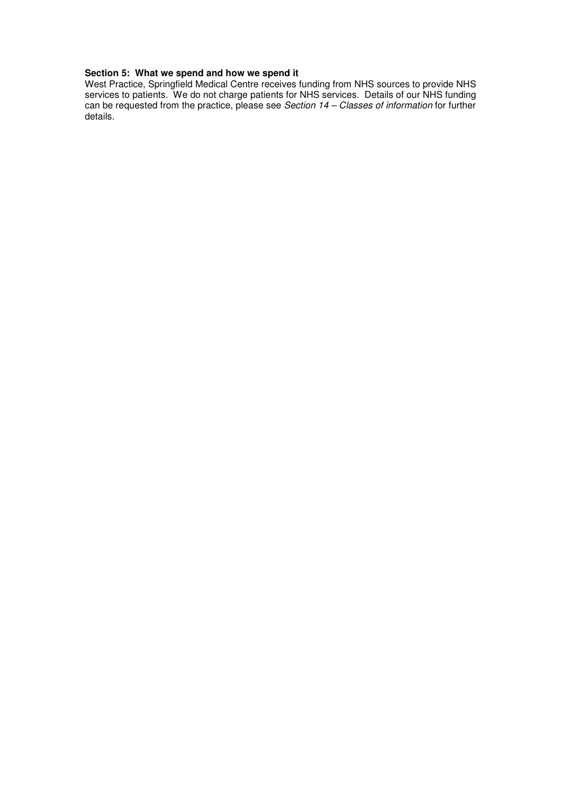# **Section 5: What we spend and how we spend it**

West Practice, Springfield Medical Centre receives funding from NHS sources to provide NHS services to patients. We do not charge patients for NHS services. Details of our NHS funding can be requested from the practice, please see *Section 14 – Classes of information* for further details.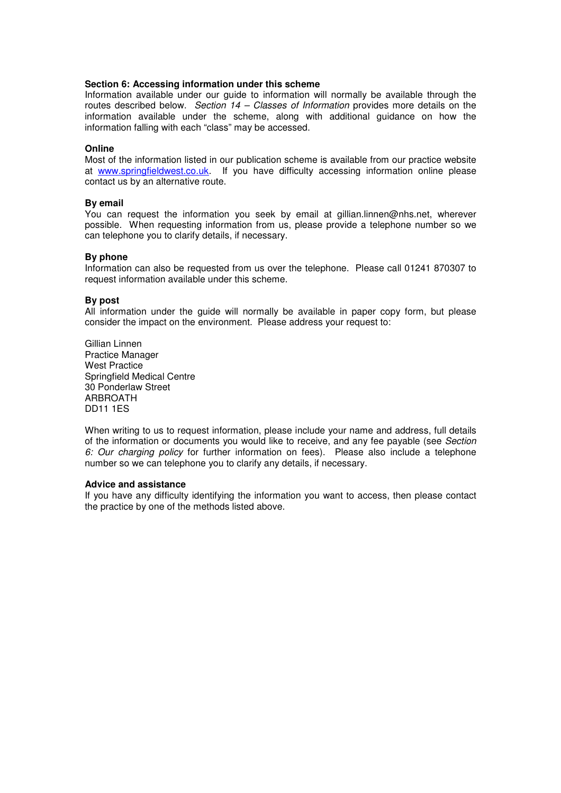# **Section 6: Accessing information under this scheme**

Information available under our guide to information will normally be available through the routes described below. *Section 14 – Classes of Information* provides more details on the information available under the scheme, along with additional guidance on how the information falling with each "class" may be accessed.

#### **Online**

Most of the information listed in our publication scheme is available from our practice website at www.springfieldwest.co.uk. If you have difficulty accessing information online please contact us by an alternative route.

#### **By email**

You can request the information you seek by email at gillian.linnen@nhs.net, wherever possible. When requesting information from us, please provide a telephone number so we can telephone you to clarify details, if necessary.

#### **By phone**

Information can also be requested from us over the telephone. Please call 01241 870307 to request information available under this scheme.

#### **By post**

All information under the guide will normally be available in paper copy form, but please consider the impact on the environment. Please address your request to:

Gillian Linnen Practice Manager West Practice Springfield Medical Centre 30 Ponderlaw Street ARBROATH DD11 1ES

When writing to us to request information, please include your name and address, full details of the information or documents you would like to receive, and any fee payable (see *Section 6: Our charging policy* for further information on fees). Please also include a telephone number so we can telephone you to clarify any details, if necessary.

#### **Advice and assistance**

If you have any difficulty identifying the information you want to access, then please contact the practice by one of the methods listed above.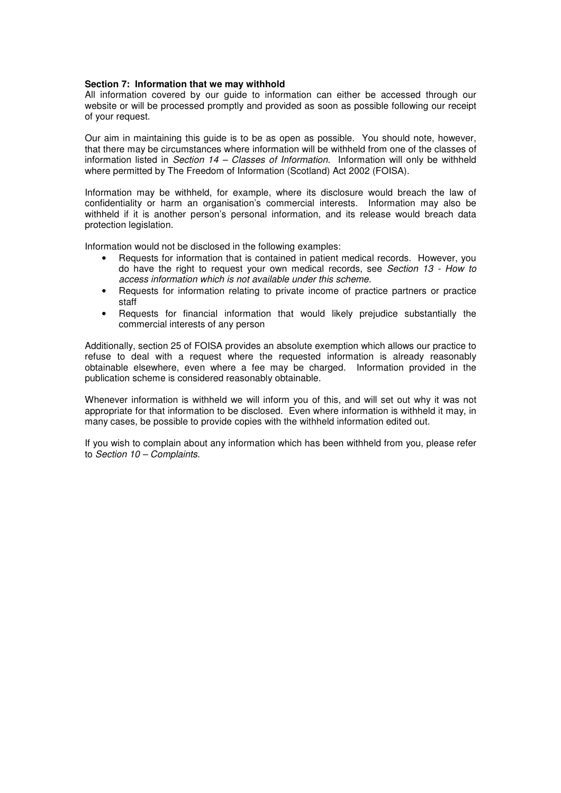# **Section 7: Information that we may withhold**

All information covered by our guide to information can either be accessed through our website or will be processed promptly and provided as soon as possible following our receipt of your request.

Our aim in maintaining this guide is to be as open as possible. You should note, however, that there may be circumstances where information will be withheld from one of the classes of information listed in *Section 14 – Classes of Information*. Information will only be withheld where permitted by The Freedom of Information (Scotland) Act 2002 (FOISA).

Information may be withheld, for example, where its disclosure would breach the law of confidentiality or harm an organisation's commercial interests. Information may also be withheld if it is another person's personal information, and its release would breach data protection legislation.

Information would not be disclosed in the following examples:

- Requests for information that is contained in patient medical records. However, you do have the right to request your own medical records, see *Section 13 - How to access information which is not available under this scheme.*
- Requests for information relating to private income of practice partners or practice staff
- Requests for financial information that would likely prejudice substantially the commercial interests of any person

Additionally, section 25 of FOISA provides an absolute exemption which allows our practice to refuse to deal with a request where the requested information is already reasonably obtainable elsewhere, even where a fee may be charged. Information provided in the publication scheme is considered reasonably obtainable.

Whenever information is withheld we will inform you of this, and will set out why it was not appropriate for that information to be disclosed. Even where information is withheld it may, in many cases, be possible to provide copies with the withheld information edited out.

If you wish to complain about any information which has been withheld from you, please refer to *Section 10 – Complaints*.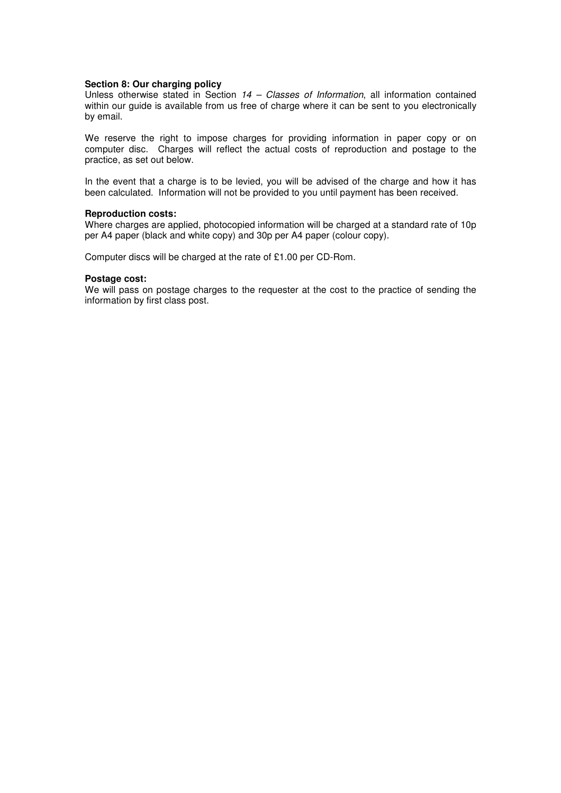# **Section 8: Our charging policy**

Unless otherwise stated in Section *14 – Classes of Information*, all information contained within our guide is available from us free of charge where it can be sent to you electronically by email.

We reserve the right to impose charges for providing information in paper copy or on computer disc. Charges will reflect the actual costs of reproduction and postage to the practice, as set out below.

In the event that a charge is to be levied, you will be advised of the charge and how it has been calculated. Information will not be provided to you until payment has been received.

#### **Reproduction costs:**

Where charges are applied, photocopied information will be charged at a standard rate of 10p per A4 paper (black and white copy) and 30p per A4 paper (colour copy).

Computer discs will be charged at the rate of £1.00 per CD-Rom.

#### **Postage cost:**

We will pass on postage charges to the requester at the cost to the practice of sending the information by first class post.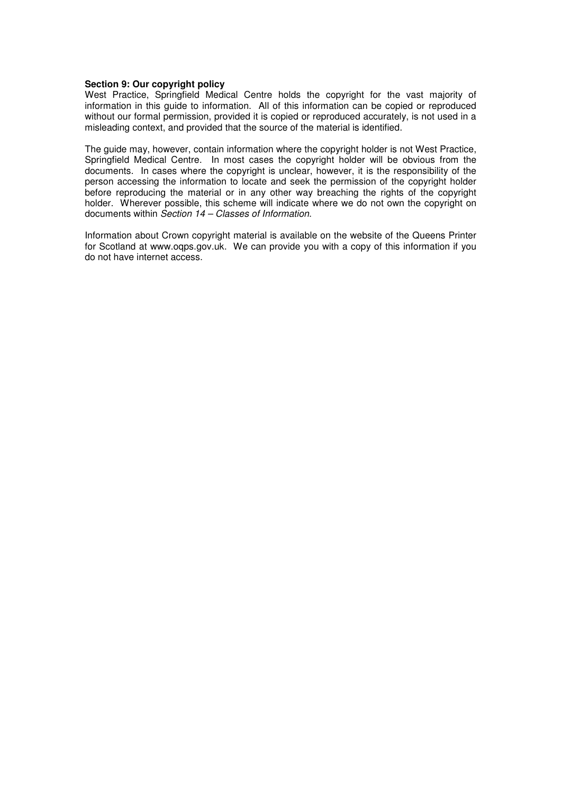# **Section 9: Our copyright policy**

West Practice, Springfield Medical Centre holds the copyright for the vast majority of information in this guide to information. All of this information can be copied or reproduced without our formal permission, provided it is copied or reproduced accurately, is not used in a misleading context, and provided that the source of the material is identified.

The guide may, however, contain information where the copyright holder is not West Practice, Springfield Medical Centre. In most cases the copyright holder will be obvious from the documents. In cases where the copyright is unclear, however, it is the responsibility of the person accessing the information to locate and seek the permission of the copyright holder before reproducing the material or in any other way breaching the rights of the copyright holder. Wherever possible, this scheme will indicate where we do not own the copyright on documents within *Section 14 – Classes of Information*.

Information about Crown copyright material is available on the website of the Queens Printer for Scotland at www.oqps.gov.uk. We can provide you with a copy of this information if you do not have internet access.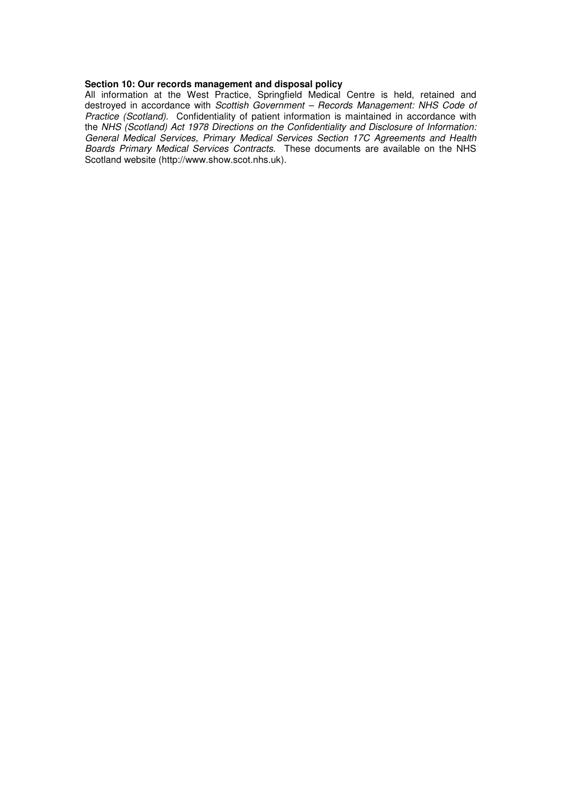#### **Section 10: Our records management and disposal policy**

All information at the West Practice, Springfield Medical Centre is held, retained and destroyed in accordance with *Scottish Government – Records Management: NHS Code of Practice (Scotland)*. Confidentiality of patient information is maintained in accordance with the *NHS (Scotland) Act 1978 Directions on the Confidentiality and Disclosure of Information: General Medical Services, Primary Medical Services Section 17C Agreements and Health Boards Primary Medical Services Contracts*. These documents are available on the NHS Scotland website (http://www.show.scot.nhs.uk).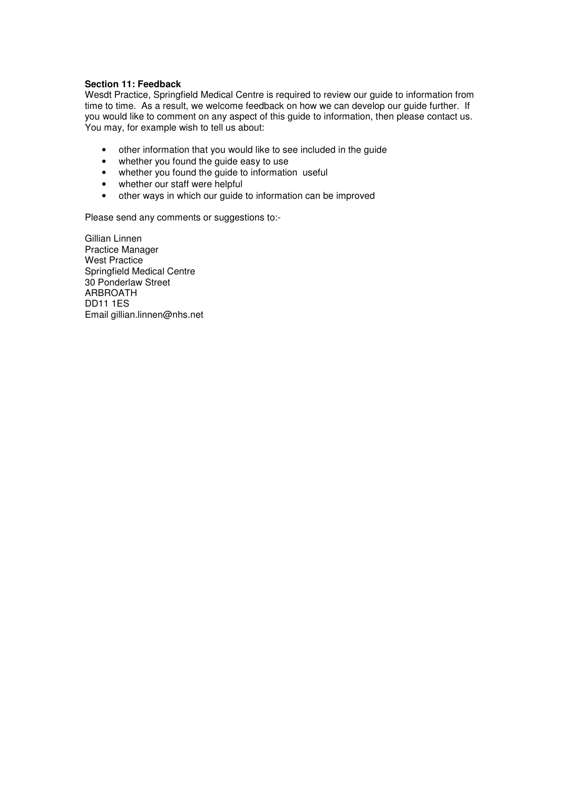# **Section 11: Feedback**

Wesdt Practice, Springfield Medical Centre is required to review our guide to information from time to time. As a result, we welcome feedback on how we can develop our guide further. If you would like to comment on any aspect of this guide to information, then please contact us. You may, for example wish to tell us about:

- other information that you would like to see included in the guide
- whether you found the guide easy to use
- whether you found the guide to information useful
- whether our staff were helpful
- other ways in which our guide to information can be improved

Please send any comments or suggestions to:-

Gillian Linnen Practice Manager West Practice Springfield Medical Centre 30 Ponderlaw Street ARBROATH DD11 1ES Email gillian.linnen@nhs.net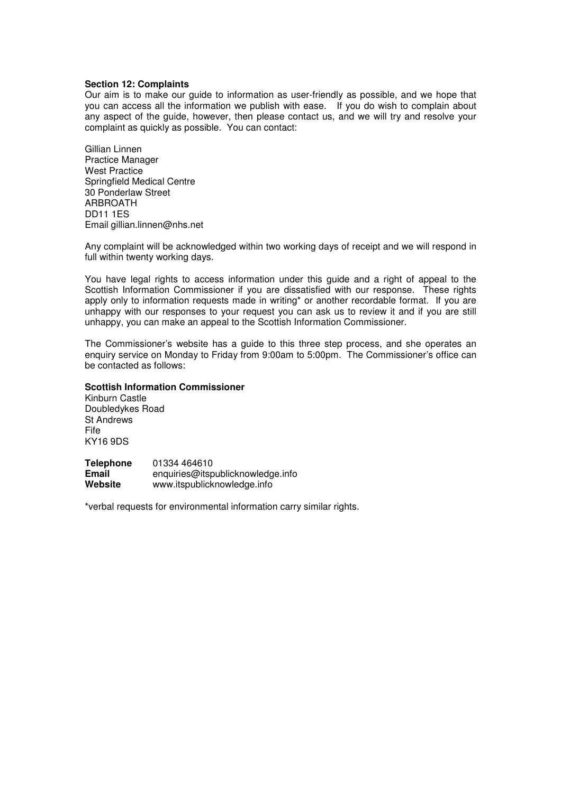# **Section 12: Complaints**

Our aim is to make our guide to information as user-friendly as possible, and we hope that you can access all the information we publish with ease. If you do wish to complain about any aspect of the guide, however, then please contact us, and we will try and resolve your complaint as quickly as possible. You can contact:

Gillian Linnen Practice Manager West Practice Springfield Medical Centre 30 Ponderlaw Street **ARRROATH** DD11 1ES Email gillian.linnen@nhs.net

Any complaint will be acknowledged within two working days of receipt and we will respond in full within twenty working days.

You have legal rights to access information under this guide and a right of appeal to the Scottish Information Commissioner if you are dissatisfied with our response. These rights apply only to information requests made in writing<sup>\*</sup> or another recordable format. If you are unhappy with our responses to your request you can ask us to review it and if you are still unhappy, you can make an appeal to the Scottish Information Commissioner.

The Commissioner's website has a guide to this three step process, and she operates an enquiry service on Monday to Friday from 9:00am to 5:00pm. The Commissioner's office can be contacted as follows:

# **Scottish Information Commissioner**

Kinburn Castle Doubledykes Road St Andrews Fife KY16 9DS

| <b>Telephone</b> | 01334 464610                      |
|------------------|-----------------------------------|
| Email            | enquiries@itspublicknowledge.info |
| Website          | www.itspublicknowledge.info       |

\*verbal requests for environmental information carry similar rights.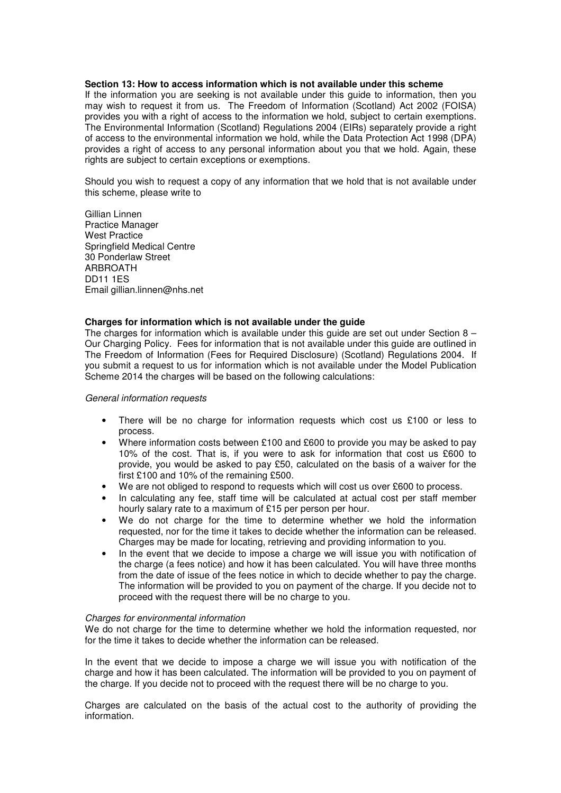#### **Section 13: How to access information which is not available under this scheme**

If the information you are seeking is not available under this guide to information, then you may wish to request it from us. The Freedom of Information (Scotland) Act 2002 (FOISA) provides you with a right of access to the information we hold, subject to certain exemptions. The Environmental Information (Scotland) Regulations 2004 (EIRs) separately provide a right of access to the environmental information we hold, while the Data Protection Act 1998 (DPA) provides a right of access to any personal information about you that we hold. Again, these rights are subject to certain exceptions or exemptions.

Should you wish to request a copy of any information that we hold that is not available under this scheme, please write to

Gillian Linnen Practice Manager West Practice Springfield Medical Centre 30 Ponderlaw Street **ARRROATH** DD11 1ES Email gillian.linnen@nhs.net

# **Charges for information which is not available under the guide**

The charges for information which is available under this quide are set out under Section  $8 -$ Our Charging Policy. Fees for information that is not available under this guide are outlined in The Freedom of Information (Fees for Required Disclosure) (Scotland) Regulations 2004. If you submit a request to us for information which is not available under the Model Publication Scheme 2014 the charges will be based on the following calculations:

# *General information requests*

- There will be no charge for information requests which cost us  $£100$  or less to process.
- Where information costs between £100 and £600 to provide you may be asked to pay 10% of the cost. That is, if you were to ask for information that cost us £600 to provide, you would be asked to pay £50, calculated on the basis of a waiver for the first £100 and 10% of the remaining £500.
- We are not obliged to respond to requests which will cost us over £600 to process.
- In calculating any fee, staff time will be calculated at actual cost per staff member hourly salary rate to a maximum of £15 per person per hour.
- We do not charge for the time to determine whether we hold the information requested, nor for the time it takes to decide whether the information can be released. Charges may be made for locating, retrieving and providing information to you.
- In the event that we decide to impose a charge we will issue you with notification of the charge (a fees notice) and how it has been calculated. You will have three months from the date of issue of the fees notice in which to decide whether to pay the charge. The information will be provided to you on payment of the charge. If you decide not to proceed with the request there will be no charge to you.

#### *Charges for environmental information*

We do not charge for the time to determine whether we hold the information requested, nor for the time it takes to decide whether the information can be released.

In the event that we decide to impose a charge we will issue you with notification of the charge and how it has been calculated. The information will be provided to you on payment of the charge. If you decide not to proceed with the request there will be no charge to you.

Charges are calculated on the basis of the actual cost to the authority of providing the information.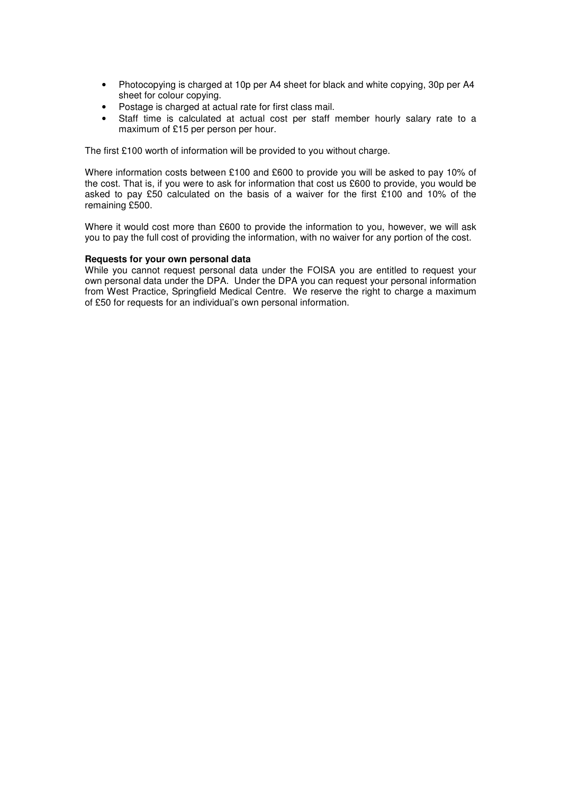- Photocopying is charged at 10p per A4 sheet for black and white copying, 30p per A4 sheet for colour copying.
- Postage is charged at actual rate for first class mail.
- Staff time is calculated at actual cost per staff member hourly salary rate to a maximum of £15 per person per hour.

The first £100 worth of information will be provided to you without charge.

Where information costs between £100 and £600 to provide you will be asked to pay 10% of the cost. That is, if you were to ask for information that cost us £600 to provide, you would be asked to pay £50 calculated on the basis of a waiver for the first £100 and 10% of the remaining £500.

Where it would cost more than £600 to provide the information to you, however, we will ask you to pay the full cost of providing the information, with no waiver for any portion of the cost.

# **Requests for your own personal data**

While you cannot request personal data under the FOISA you are entitled to request your own personal data under the DPA. Under the DPA you can request your personal information from West Practice, Springfield Medical Centre. We reserve the right to charge a maximum of £50 for requests for an individual's own personal information.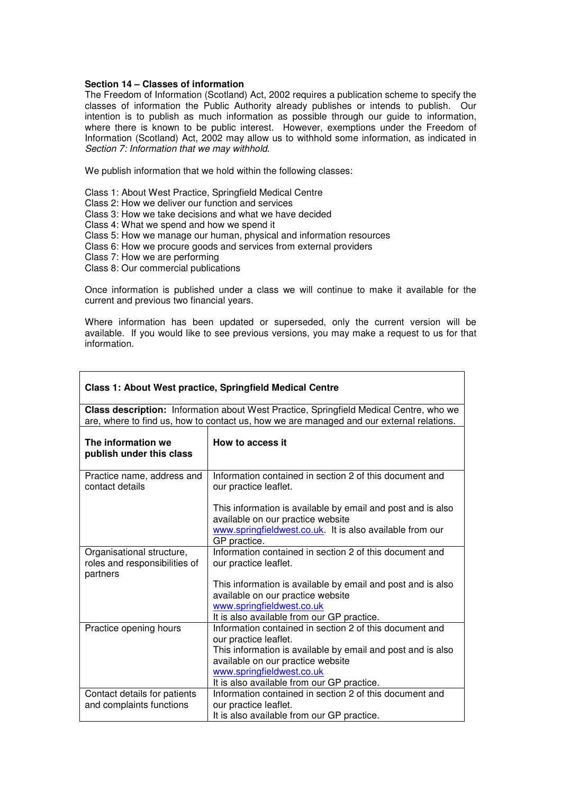# **Section 14 – Classes of information**

The Freedom of Information (Scotland) Act, 2002 requires a publication scheme to specify the classes of information the Public Authority already publishes or intends to publish. Our intention is to publish as much information as possible through our guide to information, where there is known to be public interest. However, exemptions under the Freedom of Information (Scotland) Act, 2002 may allow us to withhold some information, as indicated in *Section 7: Information that we may withhold*.

We publish information that we hold within the following classes:

Class 1: About West Practice, Springfield Medical Centre Class 2: How we deliver our function and services Class 3: How we take decisions and what we have decided Class 4: What we spend and how we spend it Class 5: How we manage our human, physical and information resources Class 6: How we procure goods and services from external providers Class 7: How we are performing Class 8: Our commercial publications

Once information is published under a class we will continue to make it available for the current and previous two financial years.

Where information has been updated or superseded, only the current version will be available. If you would like to see previous versions, you may make a request to us for that information.

| Class 1: About West practice, Springfield Medical Centre                                                                                                                           |  |  |
|------------------------------------------------------------------------------------------------------------------------------------------------------------------------------------|--|--|
| Class description: Information about West Practice, Springfield Medical Centre, who we<br>are, where to find us, how to contact us, how we are managed and our external relations. |  |  |
| How to access it                                                                                                                                                                   |  |  |
| Information contained in section 2 of this document and<br>our practice leaflet.                                                                                                   |  |  |
| This information is available by email and post and is also<br>available on our practice website                                                                                   |  |  |
| www.springfieldwest.co.uk. It is also available from our<br>GP practice.                                                                                                           |  |  |
| Information contained in section 2 of this document and<br>our practice leaflet.                                                                                                   |  |  |
| This information is available by email and post and is also<br>available on our practice website                                                                                   |  |  |
| www.springfieldwest.co.uk<br>It is also available from our GP practice.                                                                                                            |  |  |
| Information contained in section 2 of this document and<br>our practice leaflet.                                                                                                   |  |  |
| This information is available by email and post and is also<br>available on our practice website                                                                                   |  |  |
| www.springfieldwest.co.uk<br>It is also available from our GP practice.                                                                                                            |  |  |
| Information contained in section 2 of this document and<br>our practice leaflet.<br>It is also available from our GP practice.                                                     |  |  |
|                                                                                                                                                                                    |  |  |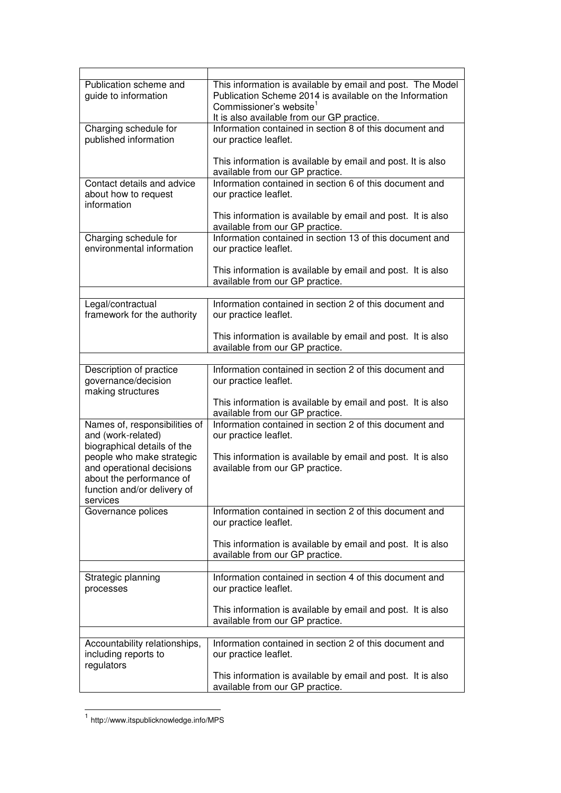| Publication scheme and<br>guide to information                                     | This information is available by email and post. The Model<br>Publication Scheme 2014 is available on the Information<br>Commissioner's website <sup>1</sup><br>It is also available from our GP practice. |
|------------------------------------------------------------------------------------|------------------------------------------------------------------------------------------------------------------------------------------------------------------------------------------------------------|
| Charging schedule for<br>published information                                     | Information contained in section 8 of this document and<br>our practice leaflet.                                                                                                                           |
|                                                                                    | This information is available by email and post. It is also<br>available from our GP practice.                                                                                                             |
| Contact details and advice<br>about how to request<br>information                  | Information contained in section 6 of this document and<br>our practice leaflet.                                                                                                                           |
|                                                                                    | This information is available by email and post. It is also<br>available from our GP practice.                                                                                                             |
| Charging schedule for<br>environmental information                                 | Information contained in section 13 of this document and<br>our practice leaflet.                                                                                                                          |
|                                                                                    | This information is available by email and post. It is also<br>available from our GP practice.                                                                                                             |
|                                                                                    |                                                                                                                                                                                                            |
| Legal/contractual<br>framework for the authority                                   | Information contained in section 2 of this document and<br>our practice leaflet.                                                                                                                           |
|                                                                                    | This information is available by email and post. It is also<br>available from our GP practice.                                                                                                             |
|                                                                                    |                                                                                                                                                                                                            |
| Description of practice<br>governance/decision<br>making structures                | Information contained in section 2 of this document and<br>our practice leaflet.                                                                                                                           |
|                                                                                    | This information is available by email and post. It is also<br>available from our GP practice.                                                                                                             |
| Names of, responsibilities of<br>and (work-related)<br>biographical details of the | Information contained in section 2 of this document and<br>our practice leaflet.                                                                                                                           |
| people who make strategic<br>and operational decisions<br>about the performance of | This information is available by email and post. It is also<br>available from our GP practice.                                                                                                             |
| function and/or delivery of<br>services                                            |                                                                                                                                                                                                            |
| Governance polices                                                                 | Information contained in section 2 of this document and<br>our practice leaflet.                                                                                                                           |
|                                                                                    | This information is available by email and post. It is also<br>available from our GP practice.                                                                                                             |
|                                                                                    |                                                                                                                                                                                                            |
| Strategic planning<br>processes                                                    | Information contained in section 4 of this document and<br>our practice leaflet.                                                                                                                           |
|                                                                                    | This information is available by email and post. It is also<br>available from our GP practice.                                                                                                             |
|                                                                                    |                                                                                                                                                                                                            |
| Accountability relationships,<br>including reports to<br>regulators                | Information contained in section 2 of this document and<br>our practice leaflet.                                                                                                                           |
|                                                                                    | This information is available by email and post. It is also<br>available from our GP practice.                                                                                                             |

 1 http://www.itspublicknowledge.info/MPS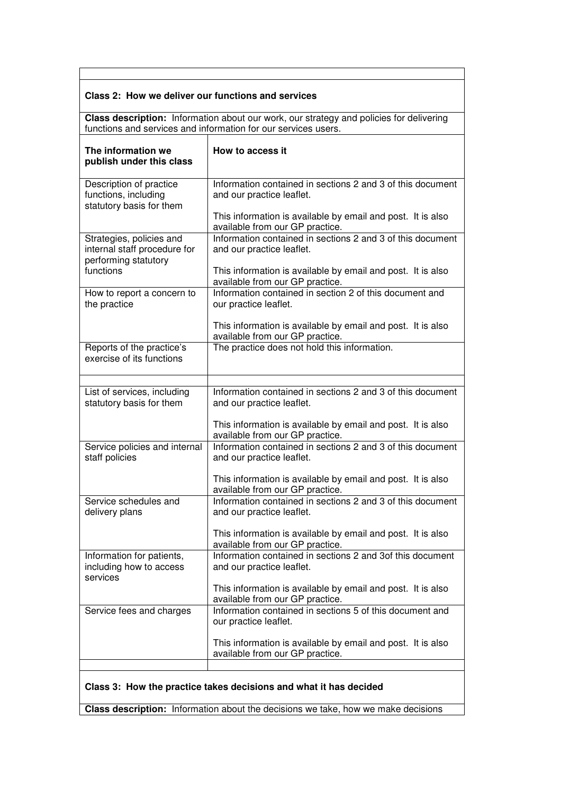# **Class 2: How we deliver our functions and services**

**Class description:** Information about our work, our strategy and policies for delivering functions and services and information for our services users.

| The information we<br>publish under this class                                   | How to access it                                                                               |  |
|----------------------------------------------------------------------------------|------------------------------------------------------------------------------------------------|--|
| Description of practice<br>functions, including<br>statutory basis for them      | Information contained in sections 2 and 3 of this document<br>and our practice leaflet.        |  |
|                                                                                  | This information is available by email and post. It is also<br>available from our GP practice. |  |
| Strategies, policies and<br>internal staff procedure for<br>performing statutory | Information contained in sections 2 and 3 of this document<br>and our practice leaflet.        |  |
| functions                                                                        | This information is available by email and post. It is also<br>available from our GP practice. |  |
| How to report a concern to<br>the practice                                       | Information contained in section 2 of this document and<br>our practice leaflet.               |  |
|                                                                                  | This information is available by email and post. It is also<br>available from our GP practice. |  |
| Reports of the practice's<br>exercise of its functions                           | The practice does not hold this information.                                                   |  |
|                                                                                  |                                                                                                |  |
| List of services, including<br>statutory basis for them                          | Information contained in sections 2 and 3 of this document<br>and our practice leaflet.        |  |
|                                                                                  | This information is available by email and post. It is also<br>available from our GP practice. |  |
| Service policies and internal<br>staff policies                                  | Information contained in sections 2 and 3 of this document<br>and our practice leaflet.        |  |
|                                                                                  | This information is available by email and post. It is also<br>available from our GP practice. |  |
| Service schedules and<br>delivery plans                                          | Information contained in sections 2 and 3 of this document<br>and our practice leaflet.        |  |
|                                                                                  | This information is available by email and post. It is also<br>available from our GP practice. |  |
| Information for patients<br>including how to access<br>services                  | Information contained in sections 2 and 3of this document<br>and our practice leaflet.         |  |
|                                                                                  | This information is available by email and post. It is also<br>available from our GP practice. |  |
| Service fees and charges                                                         | Information contained in sections 5 of this document and<br>our practice leaflet.              |  |
|                                                                                  | This information is available by email and post. It is also<br>available from our GP practice. |  |
|                                                                                  |                                                                                                |  |
|                                                                                  | Class 3: How the practice takes decisions and what it has decided                              |  |

**Class description:** Information about the decisions we take, how we make decisions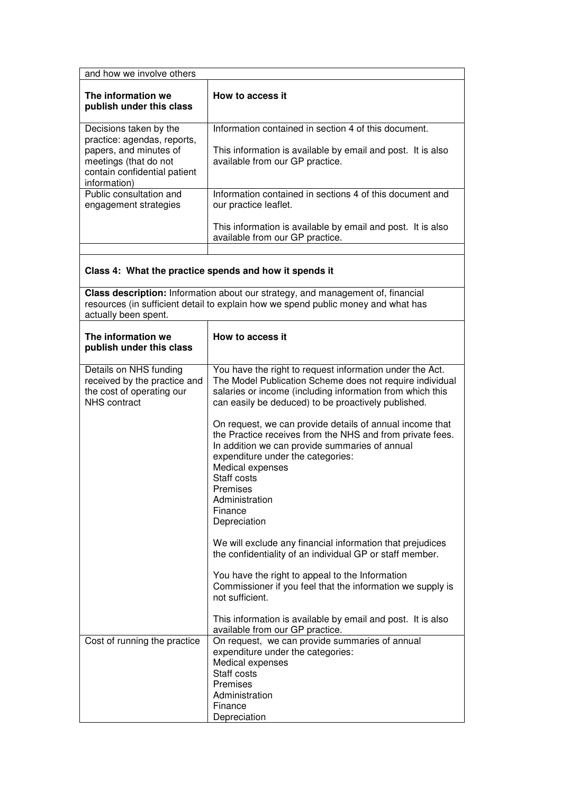| and how we involve others                                                                                                                                |                                                                                                                                                                                                                                                             |  |
|----------------------------------------------------------------------------------------------------------------------------------------------------------|-------------------------------------------------------------------------------------------------------------------------------------------------------------------------------------------------------------------------------------------------------------|--|
| The information we<br>publish under this class                                                                                                           | How to access it                                                                                                                                                                                                                                            |  |
| Decisions taken by the<br>practice: agendas, reports,<br>papers, and minutes of<br>meetings (that do not<br>contain confidential patient<br>information) | Information contained in section 4 of this document.<br>This information is available by email and post. It is also<br>available from our GP practice.                                                                                                      |  |
| Public consultation and<br>engagement strategies                                                                                                         | Information contained in sections 4 of this document and<br>our practice leaflet.                                                                                                                                                                           |  |
|                                                                                                                                                          | This information is available by email and post. It is also<br>available from our GP practice.                                                                                                                                                              |  |
|                                                                                                                                                          | Class 4: What the practice spends and how it spends it                                                                                                                                                                                                      |  |
| actually been spent.                                                                                                                                     | Class description: Information about our strategy, and management of, financial<br>resources (in sufficient detail to explain how we spend public money and what has                                                                                        |  |
| The information we<br>publish under this class                                                                                                           | How to access it                                                                                                                                                                                                                                            |  |
| Details on NHS funding<br>received by the practice and<br>the cost of operating our<br><b>NHS</b> contract                                               | You have the right to request information under the Act.<br>The Model Publication Scheme does not require individual<br>salaries or income (including information from which this<br>can easily be deduced) to be proactively published.                    |  |
|                                                                                                                                                          | On request, we can provide details of annual income that<br>the Practice receives from the NHS and from private fees.<br>In addition we can provide summaries of annual<br>expenditure under the categories:<br>Medical expenses<br>Staff costs<br>Premises |  |
|                                                                                                                                                          | Administration<br>Finance<br>Depreciation                                                                                                                                                                                                                   |  |
|                                                                                                                                                          | We will exclude any financial information that prejudices<br>the confidentiality of an individual GP or staff member.                                                                                                                                       |  |
|                                                                                                                                                          | You have the right to appeal to the Information<br>Commissioner if you feel that the information we supply is<br>not sufficient.                                                                                                                            |  |
|                                                                                                                                                          | This information is available by email and post. It is also<br>available from our GP practice.                                                                                                                                                              |  |
| Cost of running the practice                                                                                                                             | On request, we can provide summaries of annual<br>expenditure under the categories:<br>Medical expenses<br>Staff costs<br>Premises<br>Administration<br>Finance<br>Depreciation                                                                             |  |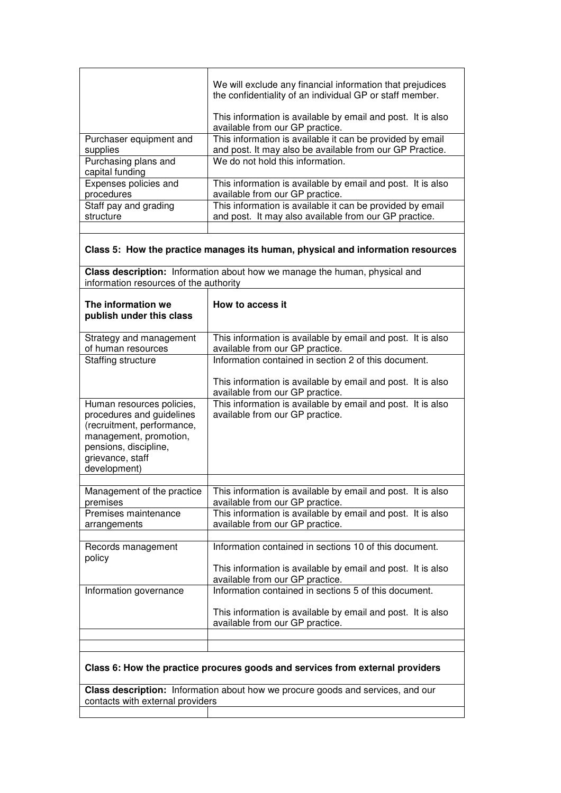|                                                                                                                                                                             | We will exclude any financial information that prejudices<br>the confidentiality of an individual GP or staff member.             |  |
|-----------------------------------------------------------------------------------------------------------------------------------------------------------------------------|-----------------------------------------------------------------------------------------------------------------------------------|--|
|                                                                                                                                                                             | This information is available by email and post. It is also<br>available from our GP practice.                                    |  |
| Purchaser equipment and<br>supplies                                                                                                                                         | This information is available it can be provided by email<br>and post. It may also be available from our GP Practice.             |  |
| Purchasing plans and<br>capital funding                                                                                                                                     | We do not hold this information.                                                                                                  |  |
| Expenses policies and<br>procedures                                                                                                                                         | This information is available by email and post. It is also<br>available from our GP practice.                                    |  |
| Staff pay and grading<br>structure                                                                                                                                          | This information is available it can be provided by email<br>and post. It may also available from our GP practice.                |  |
|                                                                                                                                                                             | Class 5: How the practice manages its human, physical and information resources                                                   |  |
| information resources of the authority                                                                                                                                      | Class description: Information about how we manage the human, physical and                                                        |  |
| The information we<br>publish under this class                                                                                                                              | How to access it                                                                                                                  |  |
| Strategy and management<br>of human resources                                                                                                                               | This information is available by email and post. It is also<br>available from our GP practice.                                    |  |
| Staffing structure                                                                                                                                                          | Information contained in section 2 of this document.                                                                              |  |
|                                                                                                                                                                             | This information is available by email and post. It is also<br>available from our GP practice.                                    |  |
| Human resources policies,<br>procedures and guidelines<br>(recruitment, performance,<br>management, promotion,<br>pensions, discipline,<br>grievance, staff<br>development) | This information is available by email and post. It is also<br>available from our GP practice.                                    |  |
| Management of the practice                                                                                                                                                  | This information is available by email and post. It is also                                                                       |  |
| premises<br>Premises maintenance<br>arrangements                                                                                                                            | available from our GP practice.<br>This information is available by email and post. It is also<br>available from our GP practice. |  |
| Records management                                                                                                                                                          | Information contained in sections 10 of this document.                                                                            |  |
| policy                                                                                                                                                                      | This information is available by email and post. It is also<br>available from our GP practice.                                    |  |
| Information governance                                                                                                                                                      | Information contained in sections 5 of this document.                                                                             |  |
|                                                                                                                                                                             | This information is available by email and post. It is also<br>available from our GP practice.                                    |  |
|                                                                                                                                                                             |                                                                                                                                   |  |
|                                                                                                                                                                             | Class 6: How the practice procures goods and services from external providers                                                     |  |
| Class description: Information about how we procure goods and services, and our<br>contacts with external providers                                                         |                                                                                                                                   |  |
|                                                                                                                                                                             |                                                                                                                                   |  |